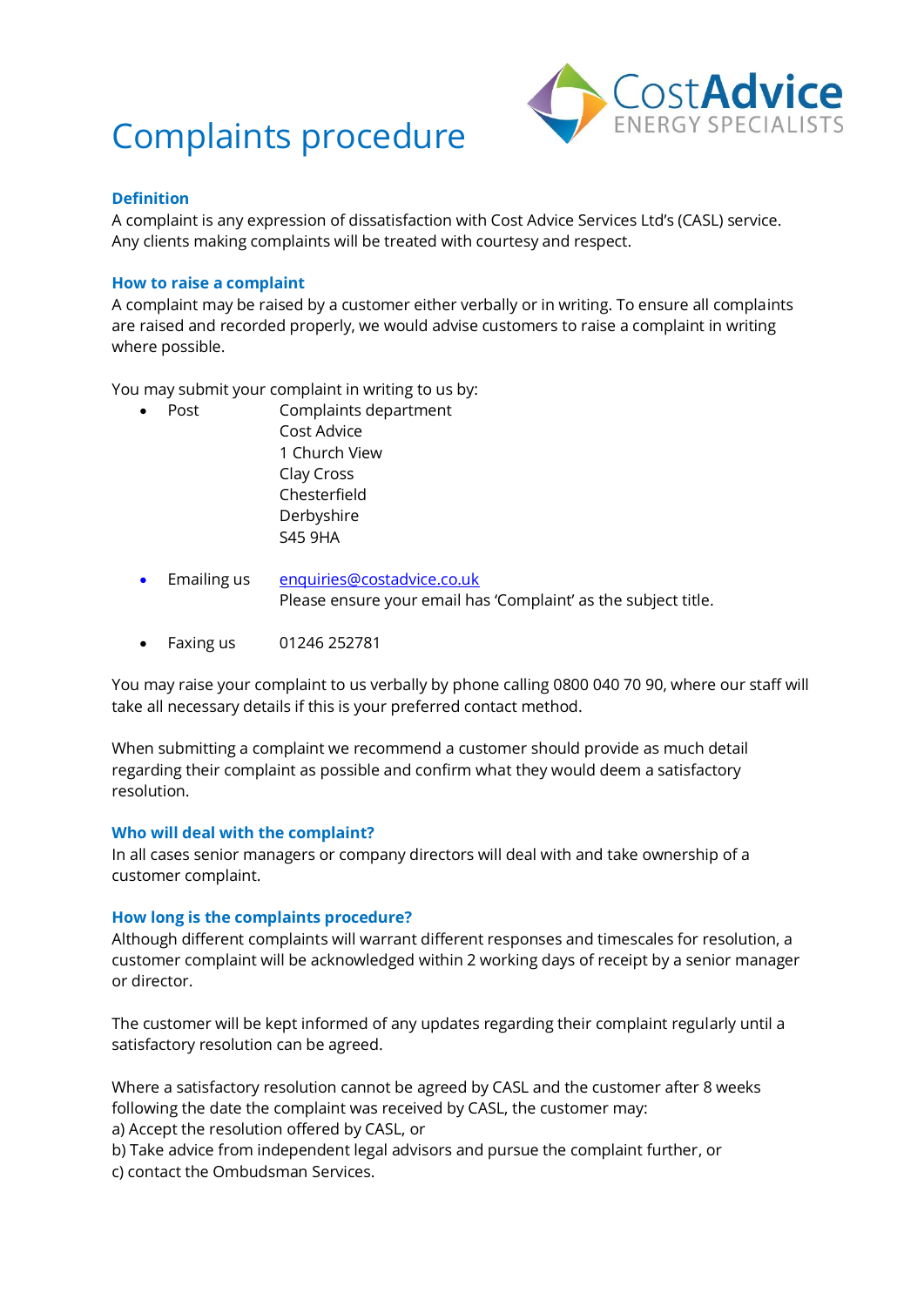# Complaints procedure



## **Definition**

A complaint is any expression of dissatisfaction with Cost Advice Services Ltd's (CASL) service. Any clients making complaints will be treated with courtesy and respect.

## **How to raise a complaint**

A complaint may be raised by a customer either verbally or in writing. To ensure all complaints are raised and recorded properly, we would advise customers to raise a complaint in writing where possible.

You may submit your complaint in writing to us by:

- Post Complaints department Cost Advice 1 Church View Clay Cross Chesterfield Derbyshire S45 9HA
- Emailing us [enquiries@costadvice.co.uk](mailto:enquiries@costadvice.co.uk) Please ensure your email has 'Complaint' as the subject title.
- Faxing us 01246 252781

You may raise your complaint to us verbally by phone calling 0800 040 70 90, where our staff will take all necessary details if this is your preferred contact method.

When submitting a complaint we recommend a customer should provide as much detail regarding their complaint as possible and confirm what they would deem a satisfactory resolution.

#### **Who will deal with the complaint?**

In all cases senior managers or company directors will deal with and take ownership of a customer complaint.

## **How long is the complaints procedure?**

Although different complaints will warrant different responses and timescales for resolution, a customer complaint will be acknowledged within 2 working days of receipt by a senior manager or director.

The customer will be kept informed of any updates regarding their complaint regularly until a satisfactory resolution can be agreed.

Where a satisfactory resolution cannot be agreed by CASL and the customer after 8 weeks following the date the complaint was received by CASL, the customer may:

a) Accept the resolution offered by CASL, or

b) Take advice from independent legal advisors and pursue the complaint further, or c) contact the Ombudsman Services.